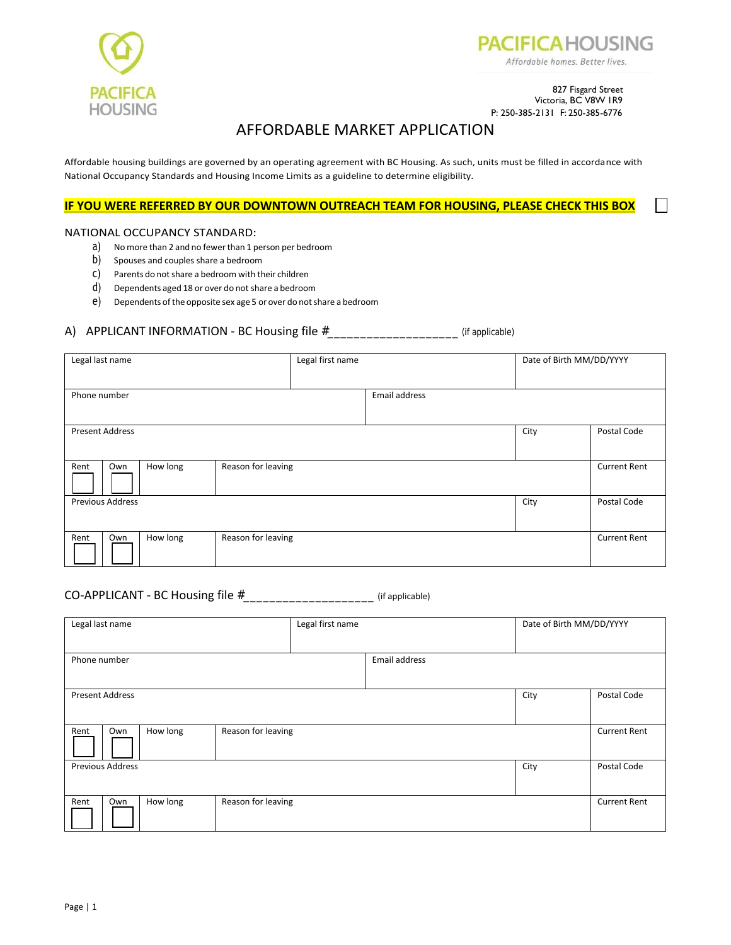



### 827 Fisgard Street Victoria, BC V8W 1R9 P: 250-385-2131 F: 250-385-6776

# AFFORDABLE MARKET APPLICATION

Affordable housing buildings are governed by an operating agreement with BC Housing. As such, units must be filled in accordance with National Occupancy Standards and Housing Income Limits as a guideline to determine eligibility.

## **IF YOU WERE REFERRED BY OUR DOWNTOWN OUTREACH TEAM FOR HOUSING, PLEASE CHECK THIS BOX**

### NATIONAL OCCUPANCY STANDARD:

- a) Nomore than 2 and no fewerthan 1 person per bedroom
- b) Spouses and couples share a bedroom
- c) Parents do notshare a bedroom with their children
- d) Dependents aged 18 or over do not share a bedroom
- e) Dependents ofthe opposite sex age 5 or over do notshare a bedroom

### A) APPLICANT INFORMATION - BC Housing file  $\#$  \_\_\_\_\_\_\_\_\_\_\_\_\_\_\_\_\_\_\_\_\_\_\_\_\_\_\_\_\_(if applicable)

| Legal last name                 |          |                                           | Legal first name |               | Date of Birth MM/DD/YYYY |                     |
|---------------------------------|----------|-------------------------------------------|------------------|---------------|--------------------------|---------------------|
|                                 |          |                                           |                  |               |                          |                     |
| Phone number                    |          |                                           |                  | Email address |                          |                     |
|                                 |          |                                           |                  |               |                          |                     |
| <b>Present Address</b>          |          |                                           |                  |               | City                     | Postal Code         |
|                                 |          |                                           |                  |               |                          |                     |
| Rent<br>Own                     | How long | Reason for leaving<br><b>Current Rent</b> |                  |               |                          |                     |
| City<br><b>Previous Address</b> |          |                                           |                  | Postal Code   |                          |                     |
|                                 |          |                                           |                  |               |                          |                     |
| Rent<br>Own                     | How long | Reason for leaving                        |                  |               |                          | <b>Current Rent</b> |

## CO-APPLICANT - BC Housing file #\_\_\_\_\_\_\_\_\_\_\_\_\_\_\_\_\_\_\_\_ (if applicable)

| Legal last name |                                 |          |                    | Legal first name |               | Date of Birth MM/DD/YYYY |                     |
|-----------------|---------------------------------|----------|--------------------|------------------|---------------|--------------------------|---------------------|
|                 |                                 |          |                    |                  |               |                          |                     |
| Phone number    |                                 |          |                    |                  | Email address |                          |                     |
|                 |                                 |          |                    |                  |               |                          |                     |
|                 | <b>Present Address</b>          |          |                    |                  |               | City                     | Postal Code         |
|                 |                                 |          |                    |                  |               |                          |                     |
| Rent            | Own                             | How long | Reason for leaving |                  |               | <b>Current Rent</b>      |                     |
|                 | <b>Previous Address</b><br>City |          |                    | Postal Code      |               |                          |                     |
|                 |                                 |          |                    |                  |               |                          |                     |
| Rent            | Own                             | How long | Reason for leaving |                  |               |                          | <b>Current Rent</b> |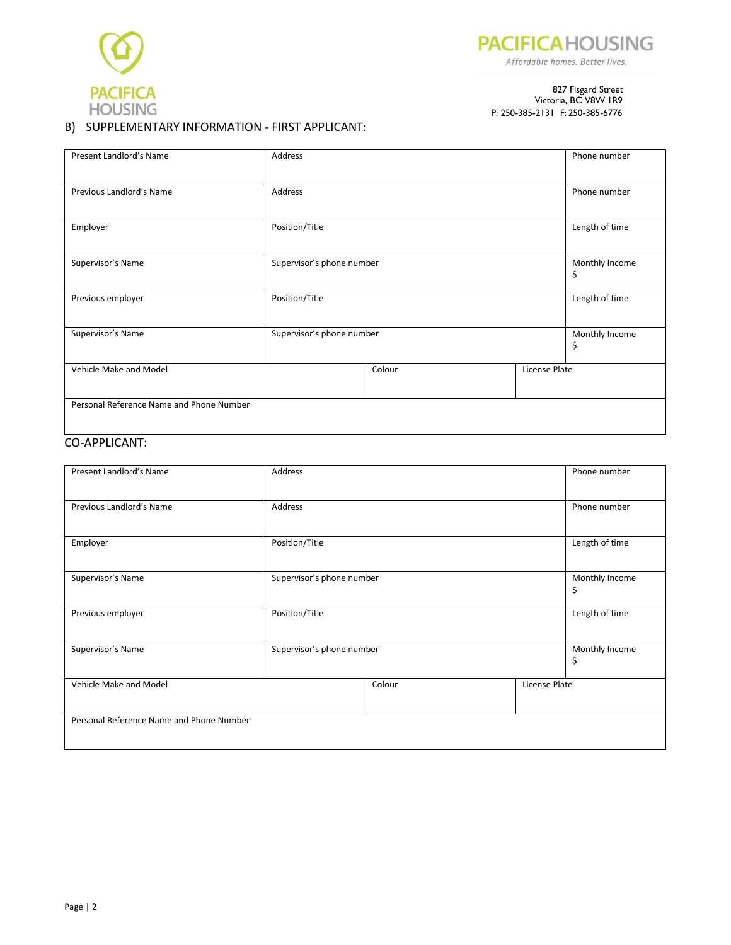



#### 827 Fisgard Street Victoria, BC V8W 1R9 P: 250-385-2131 F: 250-385-6776

# B) SUPPLEMENTARY INFORMATION - FIRST APPLICANT:

| Present Landlord's Name                  | Address        |                           |               | Phone number         |
|------------------------------------------|----------------|---------------------------|---------------|----------------------|
| Previous Landlord's Name                 | Address        |                           |               | Phone number         |
| Employer                                 | Position/Title |                           |               | Length of time       |
| Supervisor's Name                        |                | Supervisor's phone number |               | Monthly Income<br>\$ |
| Previous employer                        | Position/Title |                           |               | Length of time       |
| Supervisor's Name                        |                | Supervisor's phone number |               | Monthly Income<br>\$ |
| Vehicle Make and Model                   |                | Colour                    | License Plate |                      |
| Personal Reference Name and Phone Number |                |                           |               |                      |

# CO-APPLICANT:

| Present Landlord's Name                  | Address                   |        | Phone number         |               |
|------------------------------------------|---------------------------|--------|----------------------|---------------|
| Previous Landlord's Name                 | Address                   |        | Phone number         |               |
| Employer                                 | Position/Title            |        | Length of time       |               |
| Supervisor's Name                        | Supervisor's phone number |        | Monthly Income<br>\$ |               |
| Previous employer                        | Position/Title            |        | Length of time       |               |
| Supervisor's Name                        | Supervisor's phone number |        | Monthly Income<br>\$ |               |
| Vehicle Make and Model                   |                           | Colour |                      | License Plate |
| Personal Reference Name and Phone Number |                           |        |                      |               |